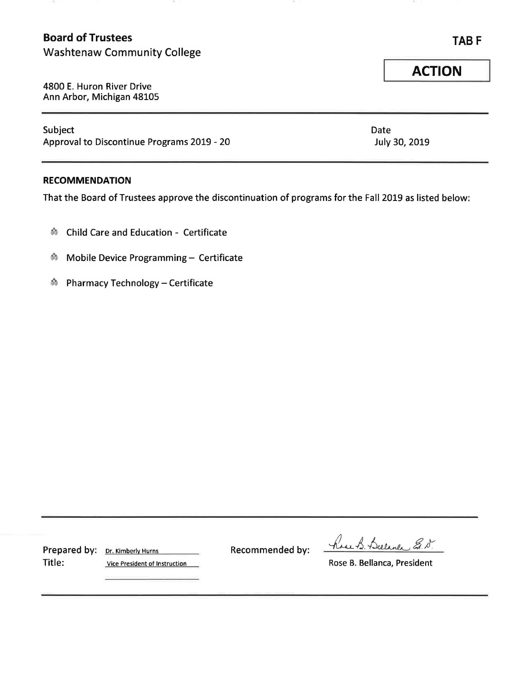# **Board of Trustees**

-82

Washtenaw Community College

4800 E. Huron River Drive Ann Arbor, Michigan 48105

Subject Date Approval to Discontinue Programs 2019 - 20 July 30, 2019

#### **RECOMMENDATION**

That the Board of Trustees approve the discontinuation of programs for the Fall 2019 as listed below:

- ~ Child Care and Education Certificate
- ~ Mobile Device Programming Certificate
- ~ Pharmacy Technology Certificate

Title: Vice President of Instruction **No. 2018** Rose B. Bellanca, President

Prepared by: Dr. Kimberly Hurns Recommended by:

have B. Bulance E.N.

**TABF** 

**ACTION**